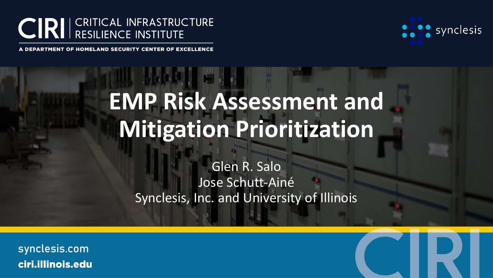

synclesis

DEPARTMENT OF HOMELAND SECURITY CENTER OF EXCELLENCE

# **EMP Risk Assessment and Mitigation Prioritization**

Glen R. Salo Jose Schutt-Ainé Synclesis, Inc. and University of Illinois

synclesis.comciri.illinois.edu

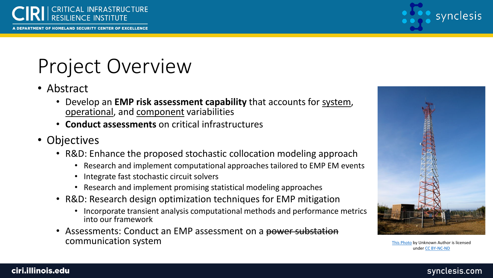

PARTMENT OF HOMELAND SECURITY CENTER OF EXCELLENCE



# Project Overview

- Abstract
	- Develop an **EMP risk assessment capability** that accounts for system, operational, and component variabilities
	- **Conduct assessments** on critical infrastructures
- Objectives
	- R&D: Enhance the proposed stochastic collocation modeling approach
		- Research and implement computational approaches tailored to EMP EM events
		- Integrate fast stochastic circuit solvers
		- Research and implement promising statistical modeling approaches
	- R&D: Research design optimization techniques for EMP mitigation
		- Incorporate transient analysis computational methods and performance metrics into our framework
	- Assessments: Conduct an EMP assessment on a power substation communication system [This Photo](http://www.scotusblog.com/2017/11/argument-preview-justices-return-cellphones-fourth-amendment/) by Unknown Author is licensed



under [CC BY-NC-ND](https://creativecommons.org/licenses/by-nc-nd/3.0/)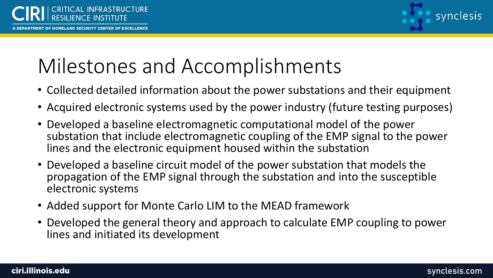

### Milestones and Accomplishments

- Collected detailed information about the power substations and their equipment
- Acquired electronic systems used by the power industry (future testing purposes)
- Developed a baseline electromagnetic computational model of the power substation that include electromagnetic coupling of the EMP signal to the power lines and the electronic equipment housed within the substation
- Developed a baseline circuit model of the power substation that models the propagation of the EMP signal through the substation and into the susceptible electronic systems
- Added support for Monte Carlo LIM to the MEAD framework
- Developed the general theory and approach to calculate EMP coupling to power lines and initiated its development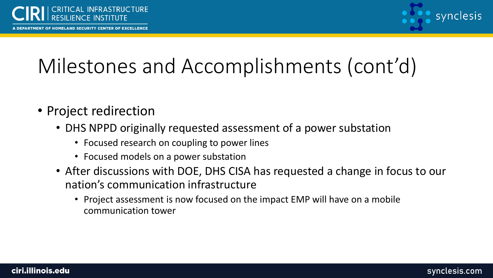RTMENT OF HOMELAND SECURITY CENTER OF EXCELLENCE



# Milestones and Accomplishments (cont'd)

- Project redirection
	- DHS NPPD originally requested assessment of a power substation
		- Focused research on coupling to power lines
		- Focused models on a power substation
	- After discussions with DOE, DHS CISA has requested a change in focus to our nation's communication infrastructure
		- Project assessment is now focused on the impact EMP will have on a mobile communication tower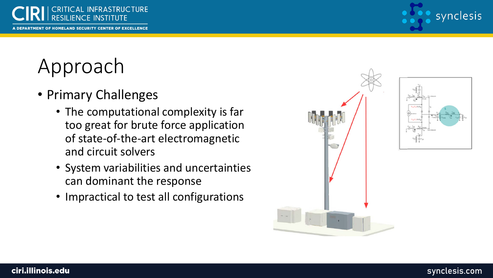

# Approach

- Primary Challenges
	- The computational complexity is far too great for brute force application of state-of-the-art electromagnetic and circuit solvers
	- System variabilities and uncertainties can dominant the response
	- Impractical to test all configurations

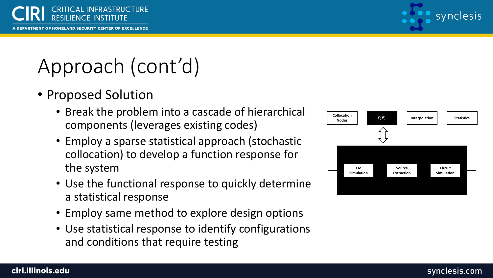

# Approach (cont'd)

- Proposed Solution
	- Break the problem into a cascade of hierarchical components (leverages existing codes)
	- Employ a sparse statistical approach (stochastic collocation) to develop a function response for the system
	- Use the functional response to quickly determine a statistical response
	- Employ same method to explore design options
	- Use statistical response to identify configurations and conditions that require testing

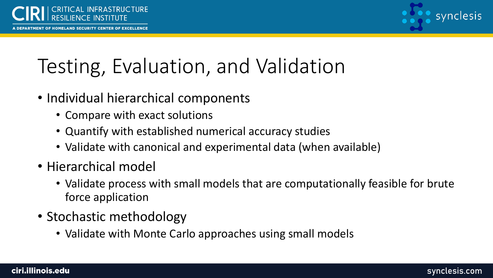

# Testing, Evaluation, and Validation

- Individual hierarchical components
	- Compare with exact solutions
	- Quantify with established numerical accuracy studies
	- Validate with canonical and experimental data (when available)
- Hierarchical model
	- Validate process with small models that are computationally feasible for brute force application
- Stochastic methodology
	- Validate with Monte Carlo approaches using small models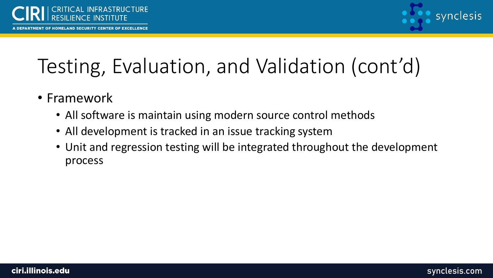EPARTMENT OF HOMELAND SECURITY CENTER OF EXCELLENCE



# Testing, Evaluation, and Validation (cont'd)

- Framework
	- All software is maintain using modern source control methods
	- All development is tracked in an issue tracking system
	- Unit and regression testing will be integrated throughout the development process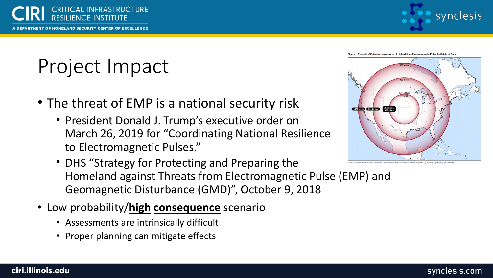



# Project Impact

- The threat of EMP is a national security risk
	- President Donald J. Trump's executive order on March 26, 2019 for "Coordinating National Resilience to Electromagnetic Pulses."
	- DHS "Strategy for Protecting and Preparing the Homeland against Threats from Electromagnetic Pulse (EMP) and Geomagnetic Disturbance (GMD)", October 9, 2018
- Low probability/**high consequence** scenario
	- Assessments are intrinsically difficult
	- Proper planning can mitigate effects



#### synclesis.com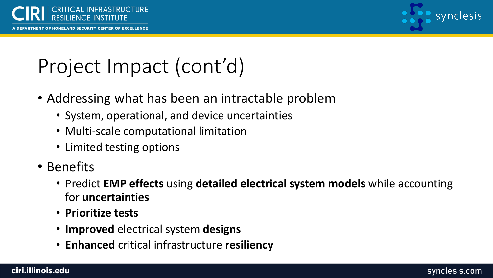RTMENT OF HOMELAND SECURITY CENTER OF EXCELLENCE



## Project Impact (cont'd)

- Addressing what has been an intractable problem
	- System, operational, and device uncertainties
	- Multi-scale computational limitation
	- Limited testing options
- Benefits
	- Predict **EMP effects** using **detailed electrical system models** while accounting for **uncertainties**
	- **Prioritize tests**
	- **Improved** electrical system **designs**
	- **Enhanced** critical infrastructure **resiliency**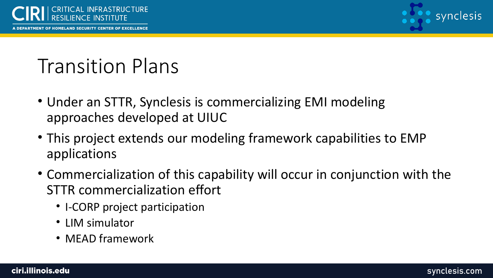

RTMENT OF HOMELAND SECURITY CENTER OF EXCELLENCE



#### Transition Plans

- Under an STTR, Synclesis is commercializing EMI modeling approaches developed at UIUC
- This project extends our modeling framework capabilities to EMP applications
- Commercialization of this capability will occur in conjunction with the STTR commercialization effort
	- I-CORP project participation
	- LIM simulator
	- MEAD framework